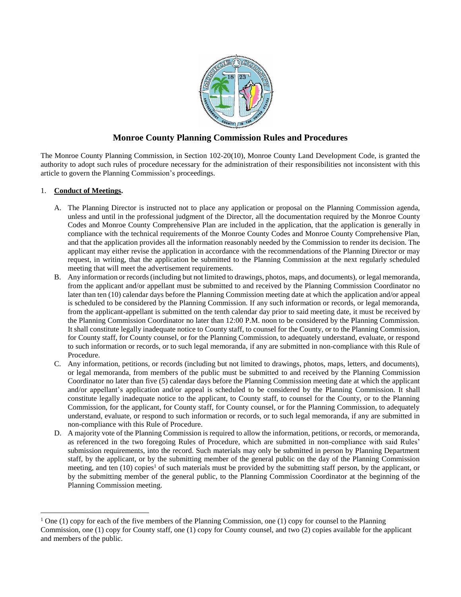

# **Monroe County Planning Commission Rules and Procedures**

The Monroe County Planning Commission, in Section 102-20(10), Monroe County Land Development Code, is granted the authority to adopt such rules of procedure necessary for the administration of their responsibilities not inconsistent with this article to govern the Planning Commission's proceedings.

## 1. **Conduct of Meetings.**

 $\overline{\phantom{a}}$ 

- A. The Planning Director is instructed not to place any application or proposal on the Planning Commission agenda, unless and until in the professional judgment of the Director, all the documentation required by the Monroe County Codes and Monroe County Comprehensive Plan are included in the application, that the application is generally in compliance with the technical requirements of the Monroe County Codes and Monroe County Comprehensive Plan, and that the application provides all the information reasonably needed by the Commission to render its decision. The applicant may either revise the application in accordance with the recommendations of the Planning Director or may request, in writing, that the application be submitted to the Planning Commission at the next regularly scheduled meeting that will meet the advertisement requirements.
- B. Any information or records (including but not limited to drawings, photos, maps, and documents), or legal memoranda, from the applicant and/or appellant must be submitted to and received by the Planning Commission Coordinator no later than ten (10) calendar days before the Planning Commission meeting date at which the application and/or appeal is scheduled to be considered by the Planning Commission. If any such information or records, or legal memoranda, from the applicant-appellant is submitted on the tenth calendar day prior to said meeting date, it must be received by the Planning Commission Coordinator no later than 12:00 P.M. noon to be considered by the Planning Commission. It shall constitute legally inadequate notice to County staff, to counsel for the County, or to the Planning Commission, for County staff, for County counsel, or for the Planning Commission, to adequately understand, evaluate, or respond to such information or records, or to such legal memoranda, if any are submitted in non-compliance with this Rule of Procedure.
- C. Any information, petitions, or records (including but not limited to drawings, photos, maps, letters, and documents), or legal memoranda, from members of the public must be submitted to and received by the Planning Commission Coordinator no later than five (5) calendar days before the Planning Commission meeting date at which the applicant and/or appellant's application and/or appeal is scheduled to be considered by the Planning Commission. It shall constitute legally inadequate notice to the applicant, to County staff, to counsel for the County, or to the Planning Commission, for the applicant, for County staff, for County counsel, or for the Planning Commission, to adequately understand, evaluate, or respond to such information or records, or to such legal memoranda, if any are submitted in non-compliance with this Rule of Procedure.
- D. A majority vote of the Planning Commission is required to allow the information, petitions, or records, or memoranda, as referenced in the two foregoing Rules of Procedure, which are submitted in non-compliance with said Rules' submission requirements, into the record. Such materials may only be submitted in person by Planning Department staff, by the applicant, or by the submitting member of the general public on the day of the Planning Commission meeting, and ten  $(10)$  copies<sup>1</sup> of such materials must be provided by the submitting staff person, by the applicant, or by the submitting member of the general public, to the Planning Commission Coordinator at the beginning of the Planning Commission meeting.

<sup>&</sup>lt;sup>1</sup> One (1) copy for each of the five members of the Planning Commission, one (1) copy for counsel to the Planning Commission, one (1) copy for County staff, one (1) copy for County counsel, and two (2) copies available for the applicant and members of the public.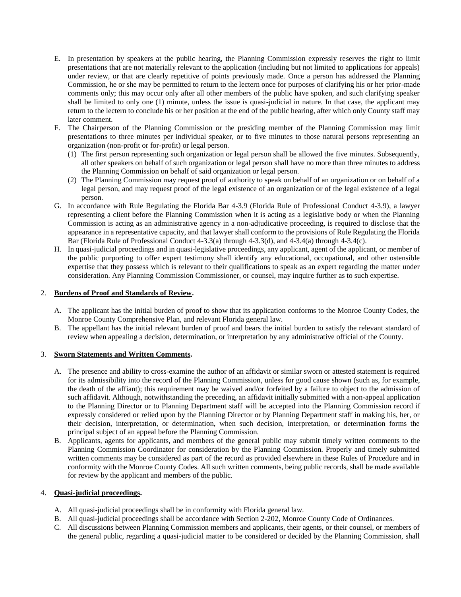- E. In presentation by speakers at the public hearing, the Planning Commission expressly reserves the right to limit presentations that are not materially relevant to the application (including but not limited to applications for appeals) under review, or that are clearly repetitive of points previously made. Once a person has addressed the Planning Commission, he or she may be permitted to return to the lectern once for purposes of clarifying his or her prior-made comments only; this may occur only after all other members of the public have spoken, and such clarifying speaker shall be limited to only one (1) minute, unless the issue is quasi-judicial in nature. In that case, the applicant may return to the lectern to conclude his or her position at the end of the public hearing, after which only County staff may later comment.
- F. The Chairperson of the Planning Commission or the presiding member of the Planning Commission may limit presentations to three minutes per individual speaker, or to five minutes to those natural persons representing an organization (non-profit or for-profit) or legal person.
	- (1) The first person representing such organization or legal person shall be allowed the five minutes. Subsequently, all other speakers on behalf of such organization or legal person shall have no more than three minutes to address the Planning Commission on behalf of said organization or legal person.
	- (2) The Planning Commission may request proof of authority to speak on behalf of an organization or on behalf of a legal person, and may request proof of the legal existence of an organization or of the legal existence of a legal person.
- G. In accordance with Rule Regulating the Florida Bar 4-3.9 (Florida Rule of Professional Conduct 4-3.9), a lawyer representing a client before the Planning Commission when it is acting as a legislative body or when the Planning Commission is acting as an administrative agency in a non-adjudicative proceeding, is required to disclose that the appearance in a representative capacity, and that lawyer shall conform to the provisions of Rule Regulating the Florida Bar (Florida Rule of Professional Conduct 4-3.3(a) through 4-3.3(d), and 4-3.4(a) through 4-3.4(c).
- H. In quasi-judicial proceedings and in quasi-legislative proceedings, any applicant, agent of the applicant, or member of the public purporting to offer expert testimony shall identify any educational, occupational, and other ostensible expertise that they possess which is relevant to their qualifications to speak as an expert regarding the matter under consideration. Any Planning Commission Commissioner, or counsel, may inquire further as to such expertise.

### 2. **Burdens of Proof and Standards of Review.**

- A. The applicant has the initial burden of proof to show that its application conforms to the Monroe County Codes, the Monroe County Comprehensive Plan, and relevant Florida general law.
- B. The appellant has the initial relevant burden of proof and bears the initial burden to satisfy the relevant standard of review when appealing a decision, determination, or interpretation by any administrative official of the County.

### 3. **Sworn Statements and Written Comments.**

- A. The presence and ability to cross-examine the author of an affidavit or similar sworn or attested statement is required for its admissibility into the record of the Planning Commission, unless for good cause shown (such as, for example, the death of the affiant); this requirement may be waived and/or forfeited by a failure to object to the admission of such affidavit. Although, notwithstanding the preceding, an affidavit initially submitted with a non-appeal application to the Planning Director or to Planning Department staff will be accepted into the Planning Commission record if expressly considered or relied upon by the Planning Director or by Planning Department staff in making his, her, or their decision, interpretation, or determination, when such decision, interpretation, or determination forms the principal subject of an appeal before the Planning Commission.
- B. Applicants, agents for applicants, and members of the general public may submit timely written comments to the Planning Commission Coordinator for consideration by the Planning Commission. Properly and timely submitted written comments may be considered as part of the record as provided elsewhere in these Rules of Procedure and in conformity with the Monroe County Codes. All such written comments, being public records, shall be made available for review by the applicant and members of the public.

### 4. **Quasi-judicial proceedings.**

- A. All quasi-judicial proceedings shall be in conformity with Florida general law.
- B. All quasi-judicial proceedings shall be accordance with Section 2-202, Monroe County Code of Ordinances.
- C. All discussions between Planning Commission members and applicants, their agents, or their counsel, or members of the general public, regarding a quasi-judicial matter to be considered or decided by the Planning Commission, shall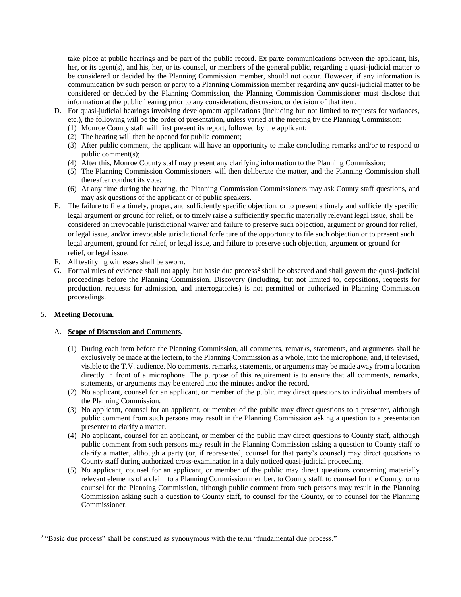take place at public hearings and be part of the public record. Ex parte communications between the applicant, his, her, or its agent(s), and his, her, or its counsel, or members of the general public, regarding a quasi-judicial matter to be considered or decided by the Planning Commission member, should not occur. However, if any information is communication by such person or party to a Planning Commission member regarding any quasi-judicial matter to be considered or decided by the Planning Commission, the Planning Commission Commissioner must disclose that information at the public hearing prior to any consideration, discussion, or decision of that item.

- D. For quasi-judicial hearings involving development applications (including but not limited to requests for variances,
	- etc.), the following will be the order of presentation, unless varied at the meeting by the Planning Commission:
	- (1) Monroe County staff will first present its report, followed by the applicant;
	- (2) The hearing will then be opened for public comment;
	- (3) After public comment, the applicant will have an opportunity to make concluding remarks and/or to respond to public comment(s);
	- (4) After this, Monroe County staff may present any clarifying information to the Planning Commission;
	- (5) The Planning Commission Commissioners will then deliberate the matter, and the Planning Commission shall thereafter conduct its vote;
	- (6) At any time during the hearing, the Planning Commission Commissioners may ask County staff questions, and may ask questions of the applicant or of public speakers.
- E. The failure to file a timely, proper, and sufficiently specific objection, or to present a timely and sufficiently specific legal argument or ground for relief, or to timely raise a sufficiently specific materially relevant legal issue, shall be considered an irrevocable jurisdictional waiver and failure to preserve such objection, argument or ground for relief, or legal issue, and/or irrevocable jurisdictional forfeiture of the opportunity to file such objection or to present such legal argument, ground for relief, or legal issue, and failure to preserve such objection, argument or ground for relief, or legal issue.
- F. All testifying witnesses shall be sworn.
- G. Formal rules of evidence shall not apply, but basic due process<sup>2</sup> shall be observed and shall govern the quasi-judicial proceedings before the Planning Commission. Discovery (including, but not limited to, depositions, requests for production, requests for admission, and interrogatories) is not permitted or authorized in Planning Commission proceedings.

### 5. **Meeting Decorum.**

 $\overline{\phantom{a}}$ 

#### A. **Scope of Discussion and Comments.**

- (1) During each item before the Planning Commission, all comments, remarks, statements, and arguments shall be exclusively be made at the lectern, to the Planning Commission as a whole, into the microphone, and, if televised, visible to the T.V. audience. No comments, remarks, statements, or arguments may be made away from a location directly in front of a microphone. The purpose of this requirement is to ensure that all comments, remarks, statements, or arguments may be entered into the minutes and/or the record.
- (2) No applicant, counsel for an applicant, or member of the public may direct questions to individual members of the Planning Commission.
- (3) No applicant, counsel for an applicant, or member of the public may direct questions to a presenter, although public comment from such persons may result in the Planning Commission asking a question to a presentation presenter to clarify a matter.
- (4) No applicant, counsel for an applicant, or member of the public may direct questions to County staff, although public comment from such persons may result in the Planning Commission asking a question to County staff to clarify a matter, although a party (or, if represented, counsel for that party's counsel) may direct questions to County staff during authorized cross-examination in a duly noticed quasi-judicial proceeding.
- (5) No applicant, counsel for an applicant, or member of the public may direct questions concerning materially relevant elements of a claim to a Planning Commission member, to County staff, to counsel for the County, or to counsel for the Planning Commission, although public comment from such persons may result in the Planning Commission asking such a question to County staff, to counsel for the County, or to counsel for the Planning Commissioner.

<sup>&</sup>lt;sup>2</sup> "Basic due process" shall be construed as synonymous with the term "fundamental due process."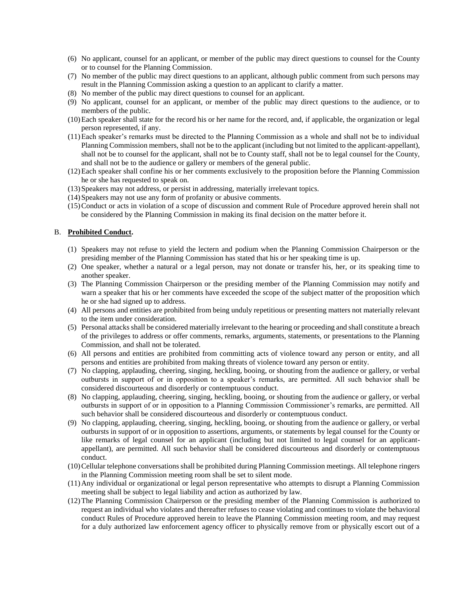- (6) No applicant, counsel for an applicant, or member of the public may direct questions to counsel for the County or to counsel for the Planning Commission.
- (7) No member of the public may direct questions to an applicant, although public comment from such persons may result in the Planning Commission asking a question to an applicant to clarify a matter.
- (8) No member of the public may direct questions to counsel for an applicant.
- (9) No applicant, counsel for an applicant, or member of the public may direct questions to the audience, or to members of the public.
- (10)Each speaker shall state for the record his or her name for the record, and, if applicable, the organization or legal person represented, if any.
- (11)Each speaker's remarks must be directed to the Planning Commission as a whole and shall not be to individual Planning Commission members, shall not be to the applicant (including but not limited to the applicant-appellant), shall not be to counsel for the applicant, shall not be to County staff, shall not be to legal counsel for the County, and shall not be to the audience or gallery or members of the general public.
- (12)Each speaker shall confine his or her comments exclusively to the proposition before the Planning Commission he or she has requested to speak on.
- (13)Speakers may not address, or persist in addressing, materially irrelevant topics.
- (14)Speakers may not use any form of profanity or abusive comments.
- (15)Conduct or acts in violation of a scope of discussion and comment Rule of Procedure approved herein shall not be considered by the Planning Commission in making its final decision on the matter before it.

#### B. **Prohibited Conduct.**

- (1) Speakers may not refuse to yield the lectern and podium when the Planning Commission Chairperson or the presiding member of the Planning Commission has stated that his or her speaking time is up.
- (2) One speaker, whether a natural or a legal person, may not donate or transfer his, her, or its speaking time to another speaker.
- (3) The Planning Commission Chairperson or the presiding member of the Planning Commission may notify and warn a speaker that his or her comments have exceeded the scope of the subject matter of the proposition which he or she had signed up to address.
- (4) All persons and entities are prohibited from being unduly repetitious or presenting matters not materially relevant to the item under consideration.
- (5) Personal attacksshall be considered materially irrelevant to the hearing or proceeding and shall constitute a breach of the privileges to address or offer comments, remarks, arguments, statements, or presentations to the Planning Commission, and shall not be tolerated.
- (6) All persons and entities are prohibited from committing acts of violence toward any person or entity, and all persons and entities are prohibited from making threats of violence toward any person or entity.
- (7) No clapping, applauding, cheering, singing, heckling, booing, or shouting from the audience or gallery, or verbal outbursts in support of or in opposition to a speaker's remarks, are permitted. All such behavior shall be considered discourteous and disorderly or contemptuous conduct.
- (8) No clapping, applauding, cheering, singing, heckling, booing, or shouting from the audience or gallery, or verbal outbursts in support of or in opposition to a Planning Commission Commissioner's remarks, are permitted. All such behavior shall be considered discourteous and disorderly or contemptuous conduct.
- (9) No clapping, applauding, cheering, singing, heckling, booing, or shouting from the audience or gallery, or verbal outbursts in support of or in opposition to assertions, arguments, or statements by legal counsel for the County or like remarks of legal counsel for an applicant (including but not limited to legal counsel for an applicantappellant), are permitted. All such behavior shall be considered discourteous and disorderly or contemptuous conduct.
- (10)Cellular telephone conversations shall be prohibited during Planning Commission meetings. All telephone ringers in the Planning Commission meeting room shall be set to silent mode.
- (11)Any individual or organizational or legal person representative who attempts to disrupt a Planning Commission meeting shall be subject to legal liability and action as authorized by law.
- (12)The Planning Commission Chairperson or the presiding member of the Planning Commission is authorized to request an individual who violates and thereafter refuses to cease violating and continues to violate the behavioral conduct Rules of Procedure approved herein to leave the Planning Commission meeting room, and may request for a duly authorized law enforcement agency officer to physically remove from or physically escort out of a